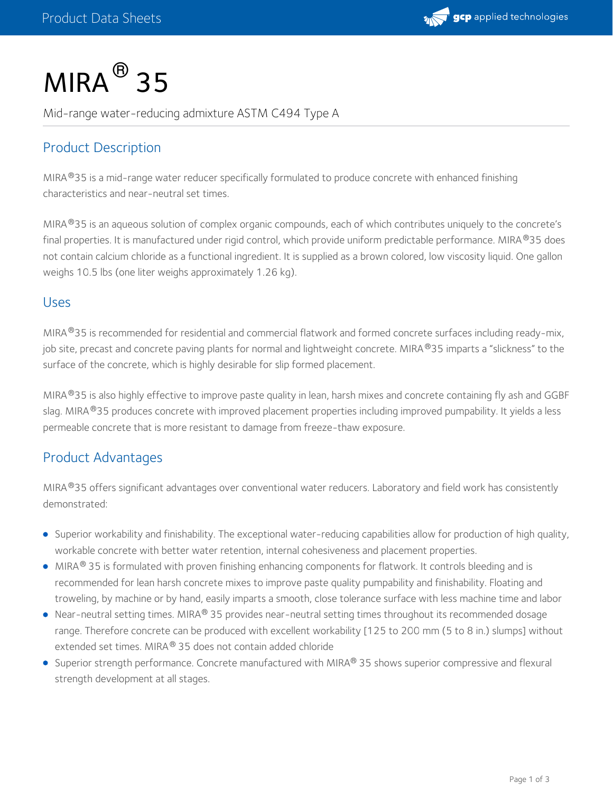# $MIRA<sup>®</sup>$  35

Mid-range water-reducing admixture ASTM C494 Type A

## Product Description

MIRA®35 is a mid-range water reducer specifically formulated to produce concrete with enhanced finishing characteristics and near-neutral set times.

MIRA®35 is an aqueous solution of complex organic compounds, each of which contributes uniquely to the concrete's final properties. It is manufactured under rigid control, which provide uniform predictable performance. MIRA®35 does not contain calcium chloride as a functional ingredient. It is supplied as a brown colored, low viscosity liquid. One gallon weighs 10.5 lbs (one liter weighs approximately 1.26 kg).

#### Uses

MIRA®35 is recommended for residential and commercial flatwork and formed concrete surfaces including ready-mix, job site, precast and concrete paving plants for normal and lightweight concrete. MIRA®35 imparts a "slickness" to the surface of the concrete, which is highly desirable for slip formed placement.

MIRA®35 is also highly effective to improve paste quality in lean, harsh mixes and concrete containing fly ash and GGBF slag. MIRA®35 produces concrete with improved placement properties including improved pumpability. It yields a less permeable concrete that is more resistant to damage from freeze-thaw exposure.

## Product Advantages

MIRA®35 offers significant advantages over conventional water reducers. Laboratory and field work has consistently demonstrated:

- Superior workability and finishability. The exceptional water-reducing capabilities allow for production of high quality, workable concrete with better water retention, internal cohesiveness and placement properties.
- MIRA® 35 is formulated with proven finishing enhancing components for flatwork. It controls bleeding and is recommended for lean harsh concrete mixes to improve paste quality pumpability and finishability. Floating and troweling, by machine or by hand, easily imparts a smooth, close tolerance surface with less machine time and labor
- Near-neutral setting times. MIRA® 35 provides near-neutral setting times throughout its recommended dosage range. Therefore concrete can be produced with excellent workability [125 to 200 mm (5 to 8 in.) slumps] without extended set times. MIRA® 35 does not contain added chloride
- Superior strength performance. Concrete manufactured with MIRA® 35 shows superior compressive and flexural strength development at all stages.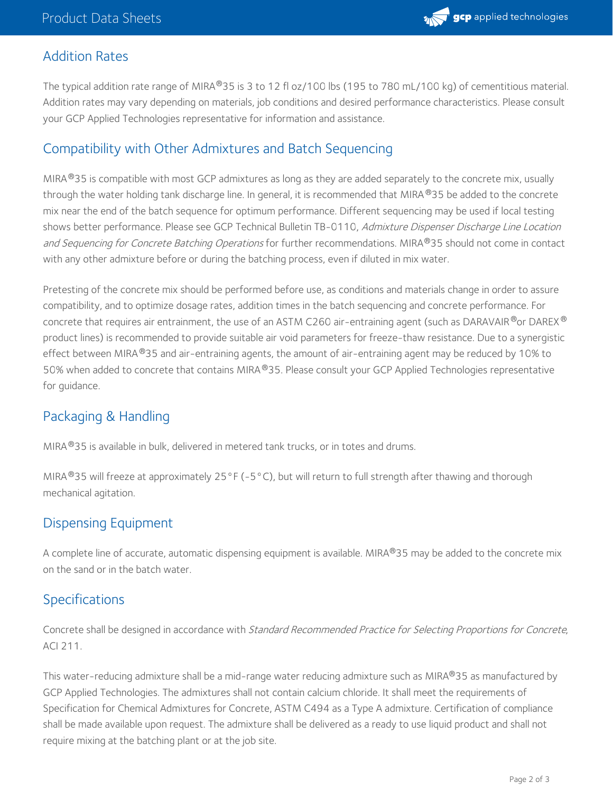

#### Addition Rates

The typical addition rate range of MIRA®35 is 3 to 12 fl oz/100 lbs (195 to 780 mL/100 kg) of cementitious material. Addition rates may vary depending on materials, job conditions and desired performance characteristics. Please consult your GCP Applied Technologies representative for information and assistance.

### Compatibility with Other Admixtures and Batch Sequencing

MIRA $^{\circledR}$ 35 is compatible with most GCP admixtures as long as they are added separately to the concrete mix, usually through the water holding tank discharge line. In general, it is recommended that MIRA®35 be added to the concrete mix near the end of the batch sequence for optimum performance. Different sequencing may be used if local testing shows better performance. Please see GCP Technical Bulletin TB-0110, Admixture Dispenser Discharge Line Location *and Sequencing for Concrete Batching Operations* for further recommendations. MIRA®35 should not come in contact with any other admixture before or during the batching process, even if diluted in mix water.

Pretesting of the concrete mix should be performed before use, as conditions and materials change in order to assure compatibility, and to optimize dosage rates, addition times in the batch sequencing and concrete performance. For concrete that requires air entrainment, the use of an ASTM C260 air-entraining agent (such as DARAVAIR®or DAREX® product lines) is recommended to provide suitable air void parameters for freeze-thaw resistance. Due to a synergistic effect between MIRA®35 and air-entraining agents, the amount of air-entraining agent may be reduced by 10% to 50% when added to concrete that contains MIRA ®35. Please consult your GCP Applied Technologies representative for guidance.

## Packaging & Handling

MIRA $^{\circledR}$ 35 is available in bulk, delivered in metered tank trucks, or in totes and drums.

MIRA $^{\circledR}$ 35 will freeze at approximately 25°F (-5°C), but will return to full strength after thawing and thorough mechanical agitation.

### Dispensing Equipment

A complete line of accurate, automatic dispensing equipment is available. MIRA®35 may be added to the concrete mix on the sand or in the batch water.

### **Specifications**

Concrete shall be designed in accordance with Standard Recommended Practice for Selecting Proportions for Concrete, ACI 211.

This water-reducing admixture shall be a mid-range water reducing admixture such as MIRA®35 as manufactured by GCP Applied Technologies. The admixtures shall not contain calcium chloride. It shall meet the requirements of Specification for Chemical Admixtures for Concrete, ASTM C494 as a Type A admixture. Certification of compliance shall be made available upon request. The admixture shall be delivered as a ready to use liquid product and shall not require mixing at the batching plant or at the job site.